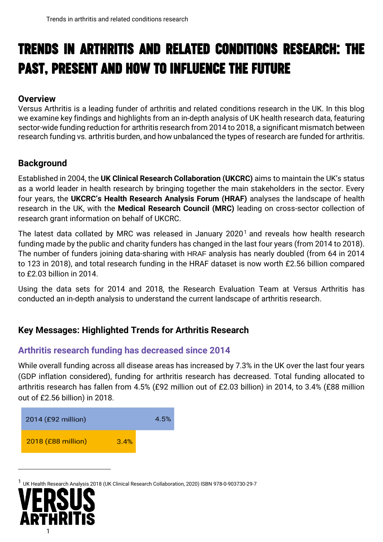# Trends in Arthritis and Related Conditions Research: The Past, Present and How to Influence the Future

#### **Overview**

Versus Arthritis is a leading funder of arthritis and related conditions research in the UK. In this blog we examine key findings and highlights from an in-depth analysis of UK health research data, featuring sector-wide funding reduction for arthritis research from 2014 to 2018, a significant mismatch between research funding vs. arthritis burden, and how unbalanced the types of research are funded for arthritis.

#### **Background**

Established in 2004, the **UK Clinical Research Collaboration (UKCRC)** aims to maintain the UK's status as a world leader in health research by bringing together the main stakeholders in the sector. Every four years, the **UKCRC's Health Research Analysis Forum (HRAF)** analyses the landscape of health research in the UK, with the **Medical Research Council (MRC)** leading on cross-sector collection of research grant information on behalf of UKCRC.

The latest data collated by MRC was released in January  $2020<sup>1</sup>$  and reveals how health research funding made by the public and charity funders has changed in the last four years (from 2014 to 2018). The number of funders joining data-sharing with HRAF analysis has nearly doubled (from 64 in 2014 to 123 in 2018), and total research funding in the HRAF dataset is now worth £2.56 billion compared to £2.03 billion in 2014.

Using the data sets for 2014 and 2018, the Research Evaluation Team at Versus Arthritis has conducted an in-depth analysis to understand the current landscape of arthritis research.

### **Key Messages: Highlighted Trends for Arthritis Research**

#### **Arthritis research funding has decreased since 2014**

While overall funding across all disease areas has increased by 7.3% in the UK over the last four years (GDP inflation considered), funding for arthritis research has decreased. Total funding allocated to arthritis research has fallen from 4.5% (£92 million out of £2.03 billion) in 2014, to 3.4% (£88 million out of £2.56 billion) in 2018.



<sup>1</sup> UK Health Research Analysis 2018 (UK Clinical Research Collaboration, 2020) ISBN 978-0-903730-29-7

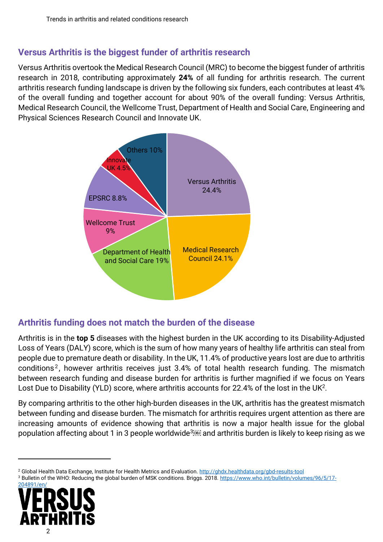#### **Versus Arthritis is the biggest funder of arthritis research**

Versus Arthritis overtook the Medical Research Council (MRC) to become the biggest funder of arthritis research in 2018, contributing approximately **24%** of all funding for arthritis research. The current arthritis research funding landscape is driven by the following six funders, each contributes at least 4% of the overall funding and together account for about 90% of the overall funding: Versus Arthritis, Medical Research Council, the Wellcome Trust, Department of Health and Social Care, Engineering and Physical Sciences Research Council and Innovate UK.



### **Arthritis funding does not match the burden of the disease**

Arthritis is in the **top 5** diseases with the highest burden in the UK according to its Disability-Adjusted Loss of Years (DALY) score, which is the sum of how many years of healthy life arthritis can steal from people due to premature death or disability. In the UK, 11.4% of productive years lost are due to arthritis conditions<sup>2</sup>, however arthritis receives just 3.4% of total health research funding. The mismatch between research funding and disease burden for arthritis is further magnified if we focus on Years Lost Due to Disability (YLD) score, where arthritis accounts for 22.4% of the lost in the UK<sup>2</sup>.

By comparing arthritis to the other high-burden diseases in the UK, arthritis has the greatest mismatch between funding and disease burden. The mismatch for arthritis requires urgent attention as there are increasing amounts of evidence showing that arthritis is now a major health issue for the global population affecting about 1 in 3 people worldwide<sup>3</sup> and arthritis burden is likely to keep rising as we

<sup>3</sup> Bulletin of the WHO: Reducing the global burden of MSK conditions. Briggs. 2018. [https://www.who.int/bulletin/volumes/96/5/17-](https://www.who.int/bulletin/volumes/96/5/17-204891/en/)



<sup>2</sup> Global Health Data Exchange, Institute for Health Metrics and Evaluation.<http://ghdx.healthdata.org/gbd-results-tool>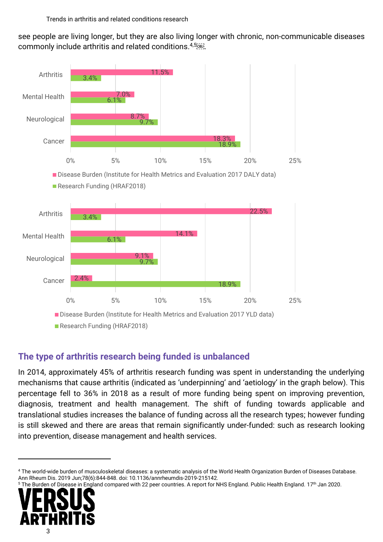see people are living longer, but they are also living longer with chronic, non-communicable diseases commonly include arthritis and related conditions. 4,5506J.



### **The type of arthritis research being funded is unbalanced**

In 2014, approximately 45% of arthritis research funding was spent in understanding the underlying mechanisms that cause arthritis (indicated as 'underpinning' and 'aetiology' in the graph below). This percentage fell to 36% in 2018 as a result of more funding being spent on improving prevention, diagnosis, treatment and health management. The shift of funding towards applicable and translational studies increases the balance of funding across all the research types; however funding is still skewed and there are areas that remain significantly under-funded: such as research looking into prevention, disease management and health services.

The Burden of Disease in England compared with 22 peer countries. A report for NHS England. Public Health England. 17<sup>th</sup> Jan 2020.



<sup>4</sup> The world-wide burden of musculoskeletal diseases: a systematic analysis of the World Health Organization Burden of Diseases Database. Ann Rheum Dis. 2019 Jun;78(6):844-848. doi: 10.1136/annrheumdis-2019-215142.